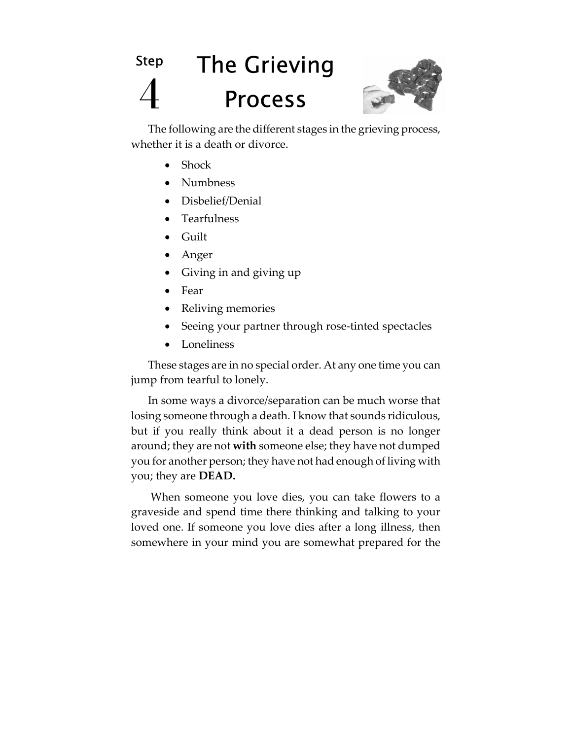# Step 4 The Grieving Process



The following are the different stages in the grieving process, whether it is a death or divorce.

- Shock
- Numbness
- Disbelief/Denial
- Tearfulness
- Guilt
- Anger
- Giving in and giving up
- Fear
- Reliving memories
- Seeing your partner through rose-tinted spectacles
- **Loneliness**

These stages are in no special order. At any one time you can jump from tearful to lonely.

In some ways a divorce/separation can be much worse that losing someone through a death. I know that sounds ridiculous, but if you really think about it a dead person is no longer around; they are not **with** someone else; they have not dumped you for another person; they have not had enough of living with you; they are **DEAD.**

 When someone you love dies, you can take flowers to a graveside and spend time there thinking and talking to your loved one. If someone you love dies after a long illness, then somewhere in your mind you are somewhat prepared for the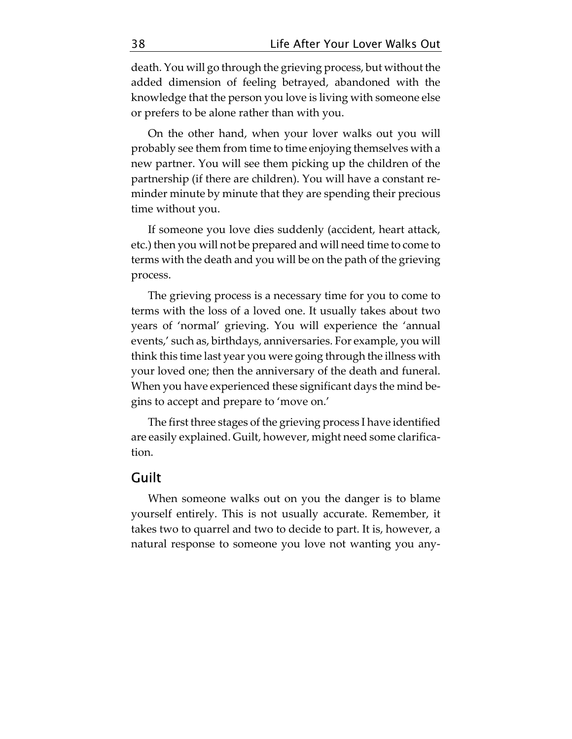death. You will go through the grieving process, but without the added dimension of feeling betrayed, abandoned with the knowledge that the person you love is living with someone else or prefers to be alone rather than with you.

On the other hand, when your lover walks out you will probably see them from time to time enjoying themselves with a new partner. You will see them picking up the children of the partnership (if there are children). You will have a constant reminder minute by minute that they are spending their precious time without you.

If someone you love dies suddenly (accident, heart attack, etc.) then you will not be prepared and will need time to come to terms with the death and you will be on the path of the grieving process.

The grieving process is a necessary time for you to come to terms with the loss of a loved one. It usually takes about two years of 'normal' grieving. You will experience the 'annual events,' such as, birthdays, anniversaries. For example, you will think this time last year you were going through the illness with your loved one; then the anniversary of the death and funeral. When you have experienced these significant days the mind begins to accept and prepare to 'move on.'

The first three stages of the grieving process I have identified are easily explained. Guilt, however, might need some clarification.

# Guilt

When someone walks out on you the danger is to blame yourself entirely. This is not usually accurate. Remember, it takes two to quarrel and two to decide to part. It is, however, a natural response to someone you love not wanting you any-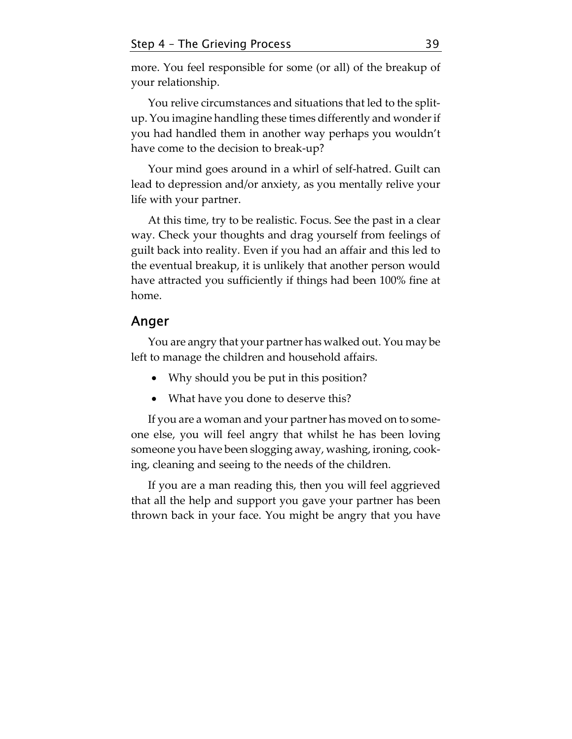more. You feel responsible for some (or all) of the breakup of your relationship.

You relive circumstances and situations that led to the splitup. You imagine handling these times differently and wonder if you had handled them in another way perhaps you wouldn't have come to the decision to break-up?

Your mind goes around in a whirl of self-hatred. Guilt can lead to depression and/or anxiety, as you mentally relive your life with your partner.

At this time, try to be realistic. Focus. See the past in a clear way. Check your thoughts and drag yourself from feelings of guilt back into reality. Even if you had an affair and this led to the eventual breakup, it is unlikely that another person would have attracted you sufficiently if things had been 100% fine at home.

# Anger

You are angry that your partner has walked out. You may be left to manage the children and household affairs.

- Why should you be put in this position?
- What have you done to deserve this?

If you are a woman and your partner has moved on to someone else, you will feel angry that whilst he has been loving someone you have been slogging away, washing, ironing, cooking, cleaning and seeing to the needs of the children.

If you are a man reading this, then you will feel aggrieved that all the help and support you gave your partner has been thrown back in your face. You might be angry that you have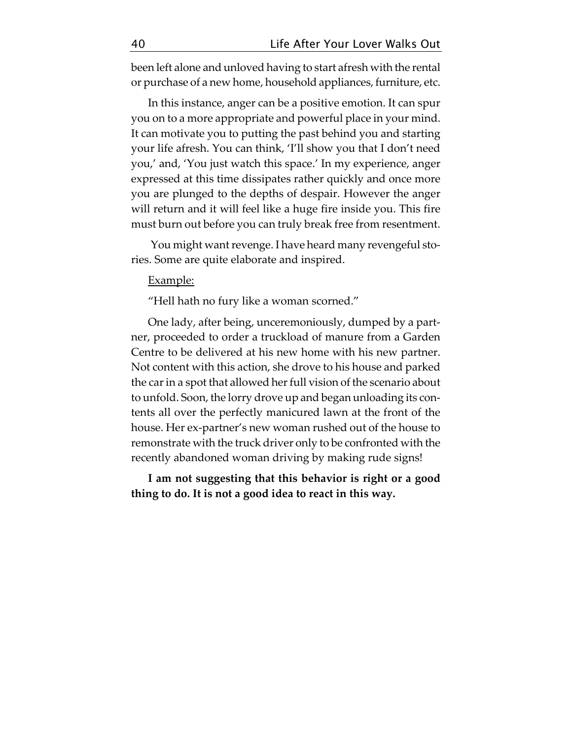been left alone and unloved having to start afresh with the rental or purchase of a new home, household appliances, furniture, etc.

In this instance, anger can be a positive emotion. It can spur you on to a more appropriate and powerful place in your mind. It can motivate you to putting the past behind you and starting your life afresh. You can think, 'I'll show you that I don't need you,' and, 'You just watch this space.' In my experience, anger expressed at this time dissipates rather quickly and once more you are plunged to the depths of despair. However the anger will return and it will feel like a huge fire inside you. This fire must burn out before you can truly break free from resentment.

 You might want revenge. I have heard many revengeful stories. Some are quite elaborate and inspired.

#### Example:

"Hell hath no fury like a woman scorned."

One lady, after being, unceremoniously, dumped by a partner, proceeded to order a truckload of manure from a Garden Centre to be delivered at his new home with his new partner. Not content with this action, she drove to his house and parked the car in a spot that allowed her full vision of the scenario about to unfold. Soon, the lorry drove up and began unloading its contents all over the perfectly manicured lawn at the front of the house. Her ex-partner's new woman rushed out of the house to remonstrate with the truck driver only to be confronted with the recently abandoned woman driving by making rude signs!

**I am not suggesting that this behavior is right or a good thing to do. It is not a good idea to react in this way.**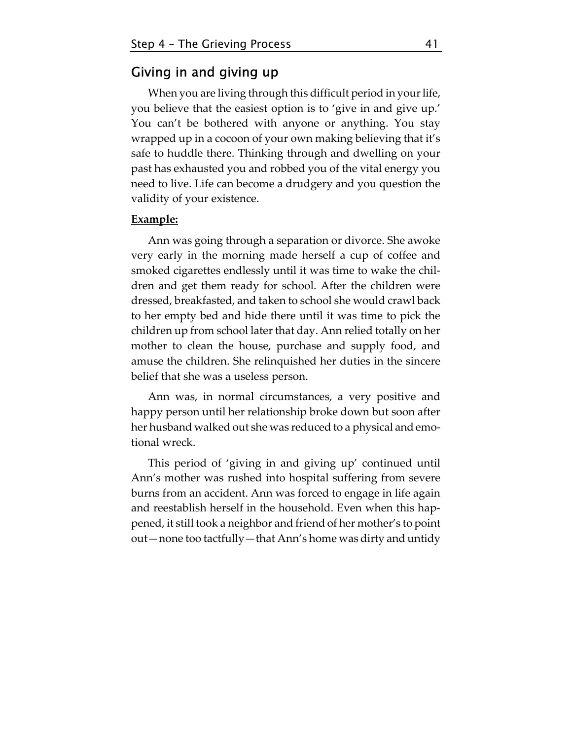### Giving in and giving up

When you are living through this difficult period in your life, you believe that the easiest option is to 'give in and give up.' You can't be bothered with anyone or anything. You stay wrapped up in a cocoon of your own making believing that it's safe to huddle there. Thinking through and dwelling on your past has exhausted you and robbed you of the vital energy you need to live. Life can become a drudgery and you question the validity of your existence.

#### **Example:**

Ann was going through a separation or divorce. She awoke very early in the morning made herself a cup of coffee and smoked cigarettes endlessly until it was time to wake the children and get them ready for school. After the children were dressed, breakfasted, and taken to school she would crawl back to her empty bed and hide there until it was time to pick the children up from school later that day. Ann relied totally on her mother to clean the house, purchase and supply food, and amuse the children. She relinquished her duties in the sincere belief that she was a useless person.

Ann was, in normal circumstances, a very positive and happy person until her relationship broke down but soon after her husband walked out she was reduced to a physical and emotional wreck.

This period of 'giving in and giving up' continued until Ann's mother was rushed into hospital suffering from severe burns from an accident. Ann was forced to engage in life again and reestablish herself in the household. Even when this happened, it still took a neighbor and friend of her mother's to point out—none too tactfully—that Ann's home was dirty and untidy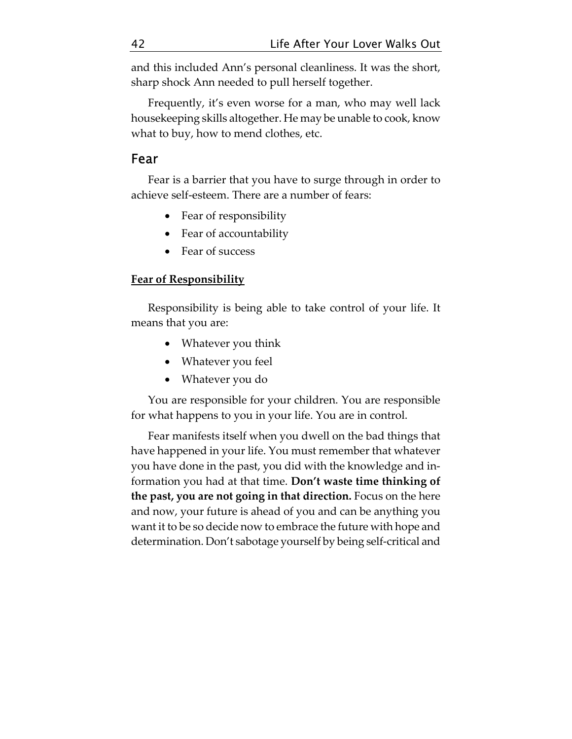and this included Ann's personal cleanliness. It was the short, sharp shock Ann needed to pull herself together.

Frequently, it's even worse for a man, who may well lack housekeeping skills altogether. He may be unable to cook, know what to buy, how to mend clothes, etc.

# Fear

Fear is a barrier that you have to surge through in order to achieve self-esteem. There are a number of fears:

- Fear of responsibility
- Fear of accountability
- Fear of success

### **Fear of Responsibility**

Responsibility is being able to take control of your life. It means that you are:

- Whatever you think
- Whatever you feel
- Whatever you do

You are responsible for your children. You are responsible for what happens to you in your life. You are in control.

Fear manifests itself when you dwell on the bad things that have happened in your life. You must remember that whatever you have done in the past, you did with the knowledge and information you had at that time. **Don't waste time thinking of the past, you are not going in that direction.** Focus on the here and now, your future is ahead of you and can be anything you want it to be so decide now to embrace the future with hope and determination. Don't sabotage yourself by being self-critical and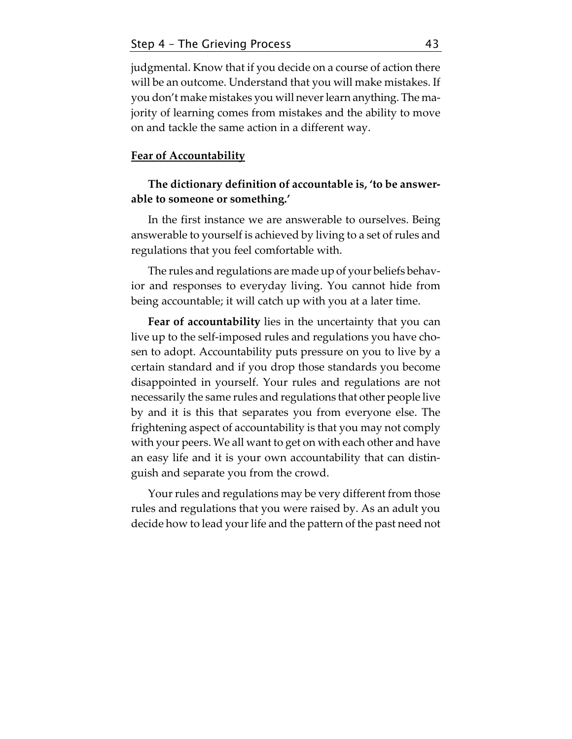judgmental. Know that if you decide on a course of action there will be an outcome. Understand that you will make mistakes. If you don't make mistakes you will never learn anything. The majority of learning comes from mistakes and the ability to move on and tackle the same action in a different way.

### **Fear of Accountability**

### **The dictionary definition of accountable is, 'to be answerable to someone or something.'**

In the first instance we are answerable to ourselves. Being answerable to yourself is achieved by living to a set of rules and regulations that you feel comfortable with.

The rules and regulations are made up of your beliefs behavior and responses to everyday living. You cannot hide from being accountable; it will catch up with you at a later time.

**Fear of accountability** lies in the uncertainty that you can live up to the self-imposed rules and regulations you have chosen to adopt. Accountability puts pressure on you to live by a certain standard and if you drop those standards you become disappointed in yourself. Your rules and regulations are not necessarily the same rules and regulations that other people live by and it is this that separates you from everyone else. The frightening aspect of accountability is that you may not comply with your peers. We all want to get on with each other and have an easy life and it is your own accountability that can distinguish and separate you from the crowd.

Your rules and regulations may be very different from those rules and regulations that you were raised by. As an adult you decide how to lead your life and the pattern of the past need not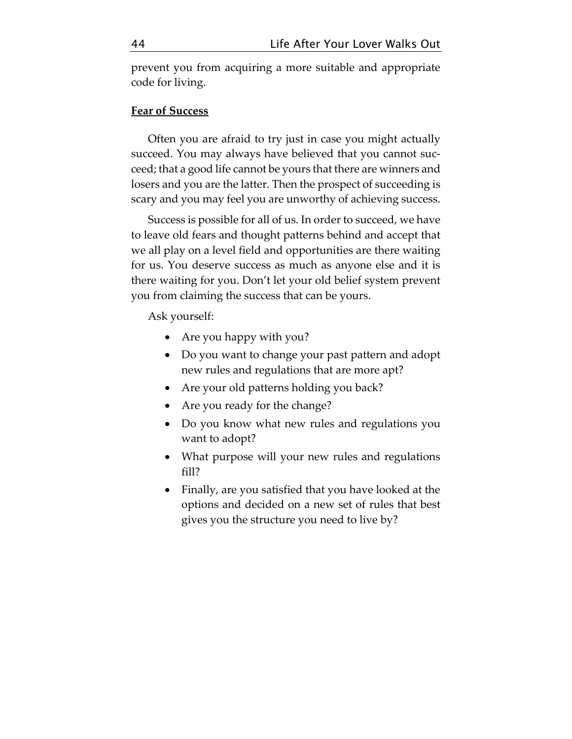prevent you from acquiring a more suitable and appropriate code for living.

#### **Fear of Success**

Often you are afraid to try just in case you might actually succeed. You may always have believed that you cannot succeed; that a good life cannot be yours that there are winners and losers and you are the latter. Then the prospect of succeeding is scary and you may feel you are unworthy of achieving success.

Success is possible for all of us. In order to succeed, we have to leave old fears and thought patterns behind and accept that we all play on a level field and opportunities are there waiting for us. You deserve success as much as anyone else and it is there waiting for you. Don't let your old belief system prevent you from claiming the success that can be yours.

Ask yourself:

- Are you happy with you?
- Do you want to change your past pattern and adopt new rules and regulations that are more apt?
- Are your old patterns holding you back?
- Are you ready for the change?
- Do you know what new rules and regulations you want to adopt?
- What purpose will your new rules and regulations fill?
- Finally, are you satisfied that you have looked at the options and decided on a new set of rules that best gives you the structure you need to live by?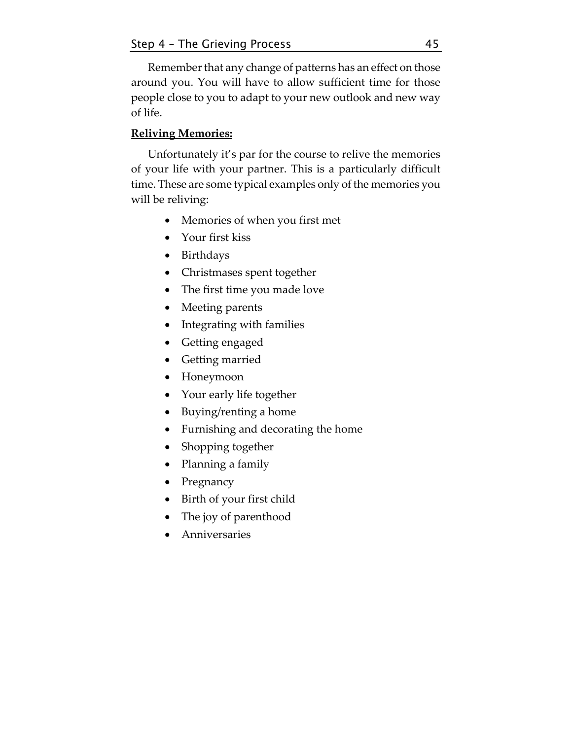Remember that any change of patterns has an effect on those around you. You will have to allow sufficient time for those people close to you to adapt to your new outlook and new way of life.

### **Reliving Memories:**

Unfortunately it's par for the course to relive the memories of your life with your partner. This is a particularly difficult time. These are some typical examples only of the memories you will be reliving:

- Memories of when you first met
- Your first kiss
- Birthdays
- Christmases spent together
- The first time you made love
- Meeting parents
- Integrating with families
- Getting engaged
- Getting married
- Honeymoon
- Your early life together
- Buying/renting a home
- Furnishing and decorating the home
- Shopping together
- Planning a family
- Pregnancy
- Birth of your first child
- The joy of parenthood
- Anniversaries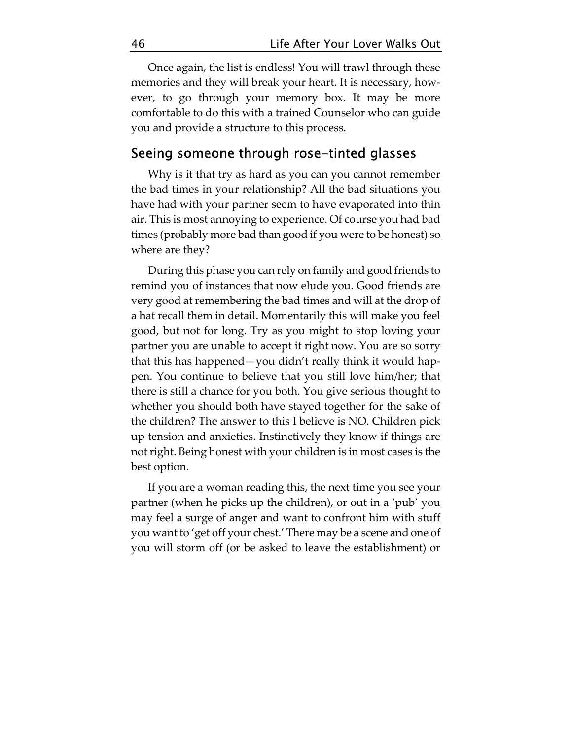Once again, the list is endless! You will trawl through these memories and they will break your heart. It is necessary, however, to go through your memory box. It may be more comfortable to do this with a trained Counselor who can guide you and provide a structure to this process.

# Seeing someone through rose-tinted glasses

Why is it that try as hard as you can you cannot remember the bad times in your relationship? All the bad situations you have had with your partner seem to have evaporated into thin air. This is most annoying to experience. Of course you had bad times (probably more bad than good if you were to be honest) so where are they?

During this phase you can rely on family and good friends to remind you of instances that now elude you. Good friends are very good at remembering the bad times and will at the drop of a hat recall them in detail. Momentarily this will make you feel good, but not for long. Try as you might to stop loving your partner you are unable to accept it right now. You are so sorry that this has happened—you didn't really think it would happen. You continue to believe that you still love him/her; that there is still a chance for you both. You give serious thought to whether you should both have stayed together for the sake of the children? The answer to this I believe is NO. Children pick up tension and anxieties. Instinctively they know if things are not right. Being honest with your children is in most cases is the best option.

If you are a woman reading this, the next time you see your partner (when he picks up the children), or out in a 'pub' you may feel a surge of anger and want to confront him with stuff you want to 'get off your chest.' There may be a scene and one of you will storm off (or be asked to leave the establishment) or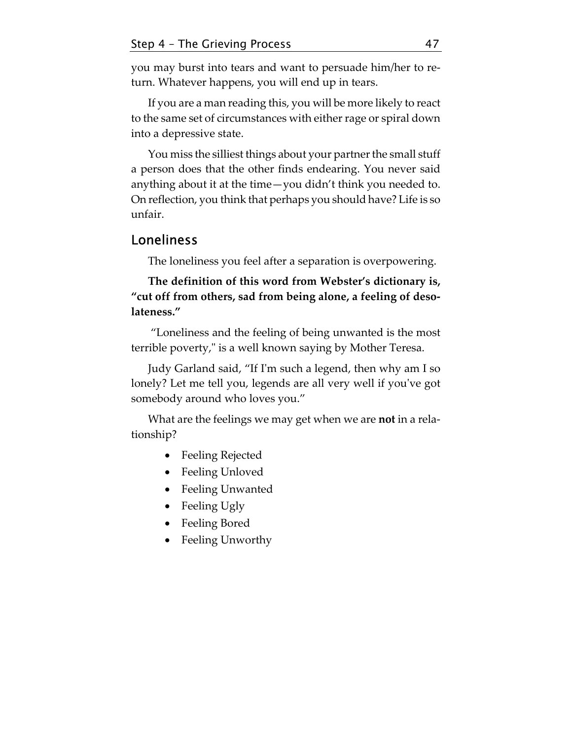you may burst into tears and want to persuade him/her to return. Whatever happens, you will end up in tears.

If you are a man reading this, you will be more likely to react to the same set of circumstances with either rage or spiral down into a depressive state.

You miss the silliest things about your partner the small stuff a person does that the other finds endearing. You never said anything about it at the time—you didn't think you needed to. On reflection, you think that perhaps you should have? Life is so unfair.

# Loneliness

The loneliness you feel after a separation is overpowering.

**The definition of this word from Webster's dictionary is, "cut off from others, sad from being alone, a feeling of desolateness."** 

 "Loneliness and the feeling of being unwanted is the most terrible poverty," is a well known saying by Mother Teresa.

Judy Garland said, "If Iʹm such a legend, then why am I so lonely? Let me tell you, legends are all very well if you've got somebody around who loves you."

What are the feelings we may get when we are **not** in a relationship?

- Feeling Rejected
- Feeling Unloved
- Feeling Unwanted
- Feeling Ugly
- Feeling Bored
- Feeling Unworthy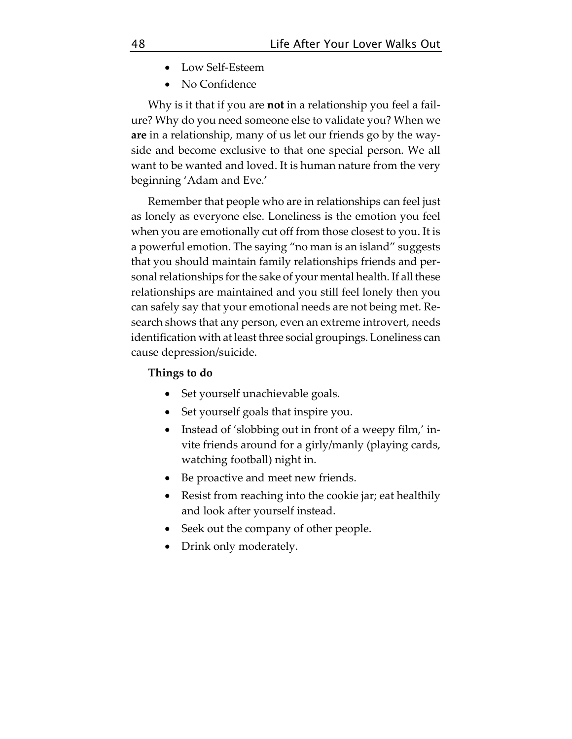- Low Self-Esteem
- No Confidence

Why is it that if you are **not** in a relationship you feel a failure? Why do you need someone else to validate you? When we **are** in a relationship, many of us let our friends go by the wayside and become exclusive to that one special person. We all want to be wanted and loved. It is human nature from the very beginning 'Adam and Eve.'

Remember that people who are in relationships can feel just as lonely as everyone else. Loneliness is the emotion you feel when you are emotionally cut off from those closest to you. It is a powerful emotion. The saying "no man is an island" suggests that you should maintain family relationships friends and personal relationships for the sake of your mental health. If all these relationships are maintained and you still feel lonely then you can safely say that your emotional needs are not being met. Research shows that any person, even an extreme introvert, needs identification with at least three social groupings. Loneliness can cause depression/suicide.

### **Things to do**

- Set yourself unachievable goals.
- Set yourself goals that inspire you.
- Instead of 'slobbing out in front of a weepy film,' invite friends around for a girly/manly (playing cards, watching football) night in.
- Be proactive and meet new friends.
- Resist from reaching into the cookie jar; eat healthily and look after yourself instead.
- Seek out the company of other people.
- Drink only moderately.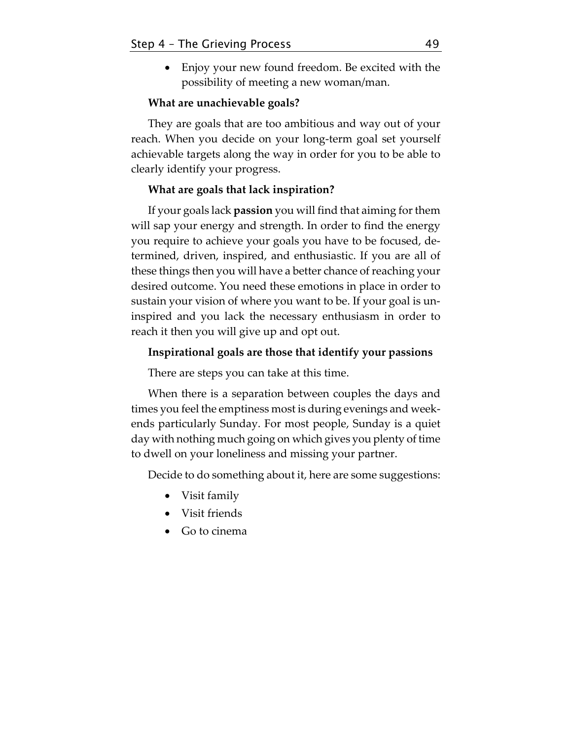• Enjoy your new found freedom. Be excited with the possibility of meeting a new woman/man.

#### **What are unachievable goals?**

They are goals that are too ambitious and way out of your reach. When you decide on your long-term goal set yourself achievable targets along the way in order for you to be able to clearly identify your progress.

### **What are goals that lack inspiration?**

If your goals lack **passion** you will find that aiming for them will sap your energy and strength. In order to find the energy you require to achieve your goals you have to be focused, determined, driven, inspired, and enthusiastic. If you are all of these things then you will have a better chance of reaching your desired outcome. You need these emotions in place in order to sustain your vision of where you want to be. If your goal is uninspired and you lack the necessary enthusiasm in order to reach it then you will give up and opt out.

### **Inspirational goals are those that identify your passions**

There are steps you can take at this time.

When there is a separation between couples the days and times you feel the emptiness most is during evenings and weekends particularly Sunday. For most people, Sunday is a quiet day with nothing much going on which gives you plenty of time to dwell on your loneliness and missing your partner.

Decide to do something about it, here are some suggestions:

- Visit family
- Visit friends
- Go to cinema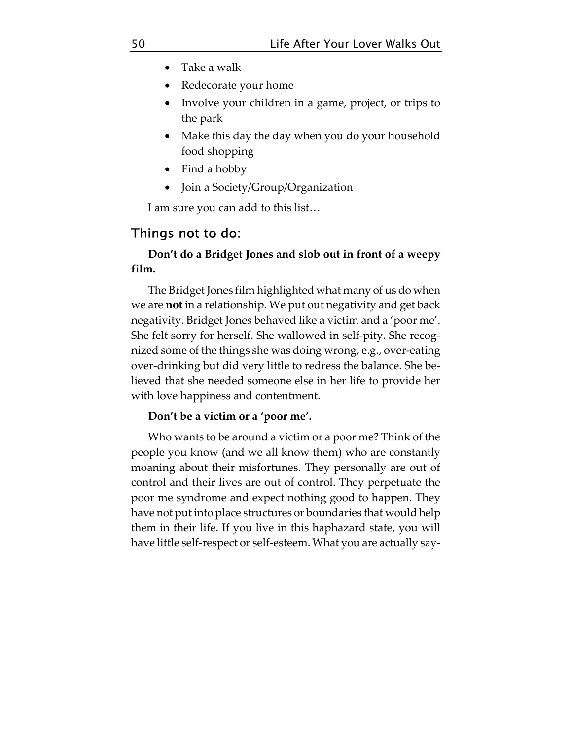- Take a walk
- Redecorate your home
- Involve your children in a game, project, or trips to the park
- Make this day the day when you do your household food shopping
- Find a hobby
- Join a Society/Group/Organization

I am sure you can add to this list…

## Things not to do:

### **Don't do a Bridget Jones and slob out in front of a weepy film.**

The Bridget Jones film highlighted what many of us do when we are **not** in a relationship. We put out negativity and get back negativity. Bridget Jones behaved like a victim and a 'poor me'. She felt sorry for herself. She wallowed in self-pity. She recognized some of the things she was doing wrong, e.g., over-eating over-drinking but did very little to redress the balance. She believed that she needed someone else in her life to provide her with love happiness and contentment.

#### **Don't be a victim or a 'poor me'.**

Who wants to be around a victim or a poor me? Think of the people you know (and we all know them) who are constantly moaning about their misfortunes. They personally are out of control and their lives are out of control. They perpetuate the poor me syndrome and expect nothing good to happen. They have not put into place structures or boundaries that would help them in their life. If you live in this haphazard state, you will have little self-respect or self-esteem. What you are actually say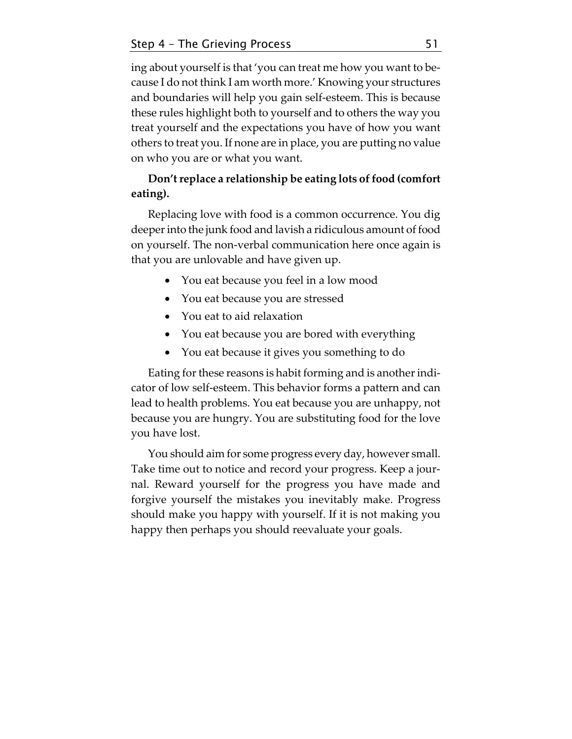ing about yourself is that 'you can treat me how you want to because I do not think I am worth more.' Knowing your structures and boundaries will help you gain self-esteem. This is because these rules highlight both to yourself and to others the way you treat yourself and the expectations you have of how you want others to treat you. If none are in place, you are putting no value on who you are or what you want.

### **Don't replace a relationship be eating lots of food (comfort eating).**

Replacing love with food is a common occurrence. You dig deeper into the junk food and lavish a ridiculous amount of food on yourself. The non-verbal communication here once again is that you are unlovable and have given up.

- You eat because you feel in a low mood
- You eat because you are stressed
- You eat to aid relaxation
- You eat because you are bored with everything
- You eat because it gives you something to do

Eating for these reasons is habit forming and is another indicator of low self-esteem. This behavior forms a pattern and can lead to health problems. You eat because you are unhappy, not because you are hungry. You are substituting food for the love you have lost.

You should aim for some progress every day, however small. Take time out to notice and record your progress. Keep a journal. Reward yourself for the progress you have made and forgive yourself the mistakes you inevitably make. Progress should make you happy with yourself. If it is not making you happy then perhaps you should reevaluate your goals.